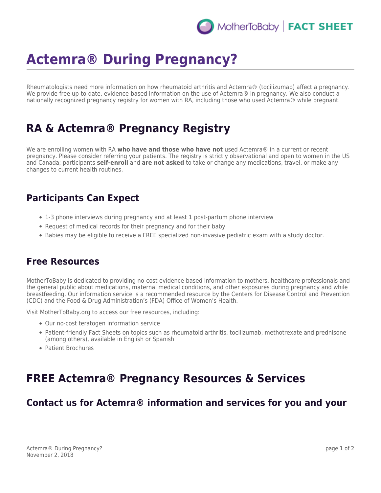## MotherToBaby | FACT SHEET

# **Actemra® During Pregnancy?**

Rheumatologists need more information on how rheumatoid arthritis and Actemra® (tocilizumab) affect a pregnancy. We provide free up-to-date, evidence-based information on the use of Actemra® in pregnancy. We also conduct a nationally recognized pregnancy registry for women with RA, including those who used Actemra® while pregnant.

## **RA & Actemra® Pregnancy Registry**

We are enrolling women with RA **who have and those who have not** used Actemra® in a current or recent pregnancy. Please consider referring your patients. The registry is strictly observational and open to women in the US and Canada; participants **self-enroll** and **are not asked** to take or change any medications, travel, or make any changes to current health routines.

### **Participants Can Expect**

- 1-3 phone interviews during pregnancy and at least 1 post-partum phone interview
- Request of medical records for their pregnancy and for their baby
- Babies may be eligible to receive a FREE specialized non-invasive pediatric exam with a study doctor.

#### **Free Resources**

MotherToBaby is dedicated to providing no-cost evidence-based information to mothers, healthcare professionals and the general public about medications, maternal medical conditions, and other exposures during pregnancy and while breastfeeding. Our information service is a recommended resource by the Centers for Disease Control and Prevention (CDC) and the Food & Drug Administration's (FDA) Office of Women's Health.

Visit MotherToBaby.org to access our free resources, including:

- Our no-cost teratogen information service
- Patient-friendly Fact Sheets on topics such as rheumatoid arthritis, tocilizumab, methotrexate and prednisone (among others), available in English or Spanish
- Patient Brochures

## **FREE Actemra® Pregnancy Resources & Services**

### **Contact us for Actemra® information and services for you and your**